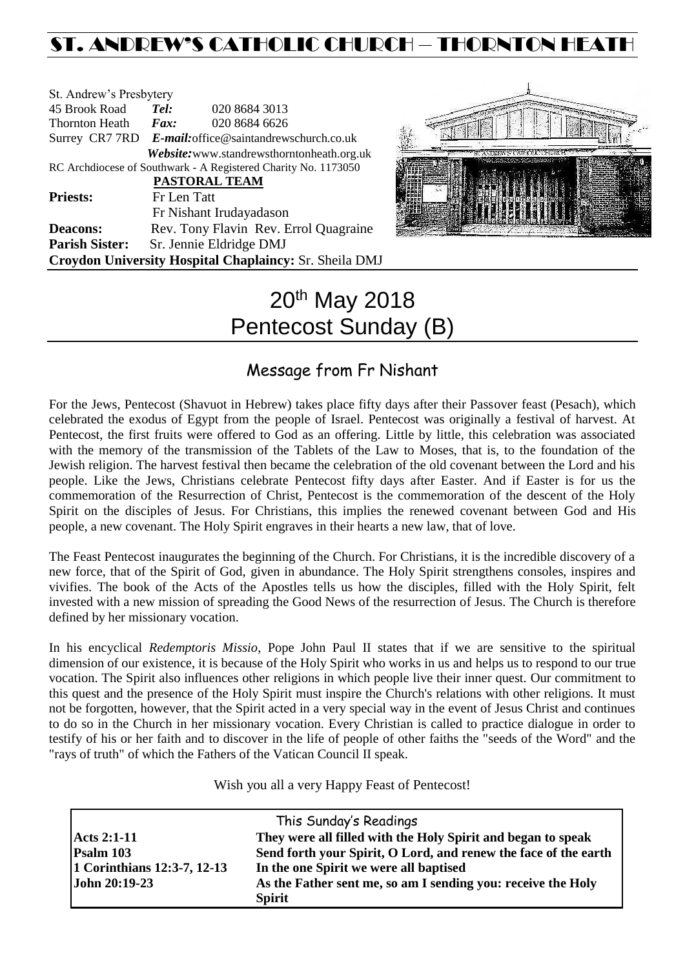# ST. ANDREW'S CATHOLIC CHURCH – THORNTON HEAT

| St. Andrew's Presbytery                                        |                                       |                                                        |  |  |
|----------------------------------------------------------------|---------------------------------------|--------------------------------------------------------|--|--|
| 45 Brook Road                                                  | Tel:                                  | 020 8684 3013                                          |  |  |
| <b>Thornton Heath</b>                                          | $\boldsymbol{Fax:}$                   | 020 8684 6626                                          |  |  |
|                                                                |                                       | Surrey CR7 7RD E-mail: office@saintandrewschurch.co.uk |  |  |
|                                                                |                                       | Website: www.standrewsthorntonheath.org.uk             |  |  |
| RC Archdiocese of Southwark - A Registered Charity No. 1173050 |                                       |                                                        |  |  |
| PASTORAL TEAM                                                  |                                       |                                                        |  |  |
| <b>Priests:</b>                                                | Fr Len Tatt                           |                                                        |  |  |
|                                                                |                                       | Fr Nishant Irudayadason                                |  |  |
| <b>Deacons:</b>                                                | Rev. Tony Flavin Rev. Errol Quagraine |                                                        |  |  |
| <b>Parish Sister:</b>                                          |                                       | Sr. Jennie Eldridge DMJ                                |  |  |
| Croydon University Hospital Chaplaincy: Sr. Sheila DMJ         |                                       |                                                        |  |  |



# 20th May 2018 Pentecost Sunday (B)

# Message from Fr Nishant

For the Jews, Pentecost (Shavuot in Hebrew) takes place fifty days after their Passover feast (Pesach), which celebrated the exodus of Egypt from the people of Israel. Pentecost was originally a festival of harvest. At Pentecost, the first fruits were offered to God as an offering. Little by little, this celebration was associated with the memory of the transmission of the Tablets of the Law to Moses, that is, to the foundation of the Jewish religion. The harvest festival then became the celebration of the old covenant between the Lord and his people. Like the Jews, Christians celebrate Pentecost fifty days after Easter. And if Easter is for us the commemoration of the Resurrection of Christ, Pentecost is the commemoration of the descent of the Holy Spirit on the disciples of Jesus. For Christians, this implies the renewed covenant between God and His people, a new covenant. The Holy Spirit engraves in their hearts a new law, that of love.

The Feast Pentecost inaugurates the beginning of the Church. For Christians, it is the incredible discovery of a new force, that of the Spirit of God, given in abundance. The Holy Spirit strengthens consoles, inspires and vivifies. The book of the Acts of the Apostles tells us how the disciples, filled with the Holy Spirit, felt invested with a new mission of spreading the Good News of the resurrection of Jesus. The Church is therefore defined by her missionary vocation.

In his encyclical *Redemptoris Missio*, Pope John Paul II states that if we are sensitive to the spiritual dimension of our existence, it is because of the Holy Spirit who works in us and helps us to respond to our true vocation. The Spirit also influences other religions in which people live their inner quest. Our commitment to this quest and the presence of the Holy Spirit must inspire the Church's relations with other religions. It must not be forgotten, however, that the Spirit acted in a very special way in the event of Jesus Christ and continues to do so in the Church in her missionary vocation. Every Christian is called to practice dialogue in order to testify of his or her faith and to discover in the life of people of other faiths the "seeds of the Word" and the "rays of truth" of which the Fathers of the Vatican Council II speak.

Wish you all a very Happy Feast of Pentecost!

| This Sunday's Readings      |                                                                 |  |  |
|-----------------------------|-----------------------------------------------------------------|--|--|
| <b>Acts 2:1-11</b>          | They were all filled with the Holy Spirit and began to speak    |  |  |
| Psalm 103                   | Send forth your Spirit, O Lord, and renew the face of the earth |  |  |
| 1 Corinthians 12:3-7, 12-13 | In the one Spirit we were all baptised                          |  |  |
| John 20:19-23               | As the Father sent me, so am I sending you: receive the Holy    |  |  |
|                             | <b>Spirit</b>                                                   |  |  |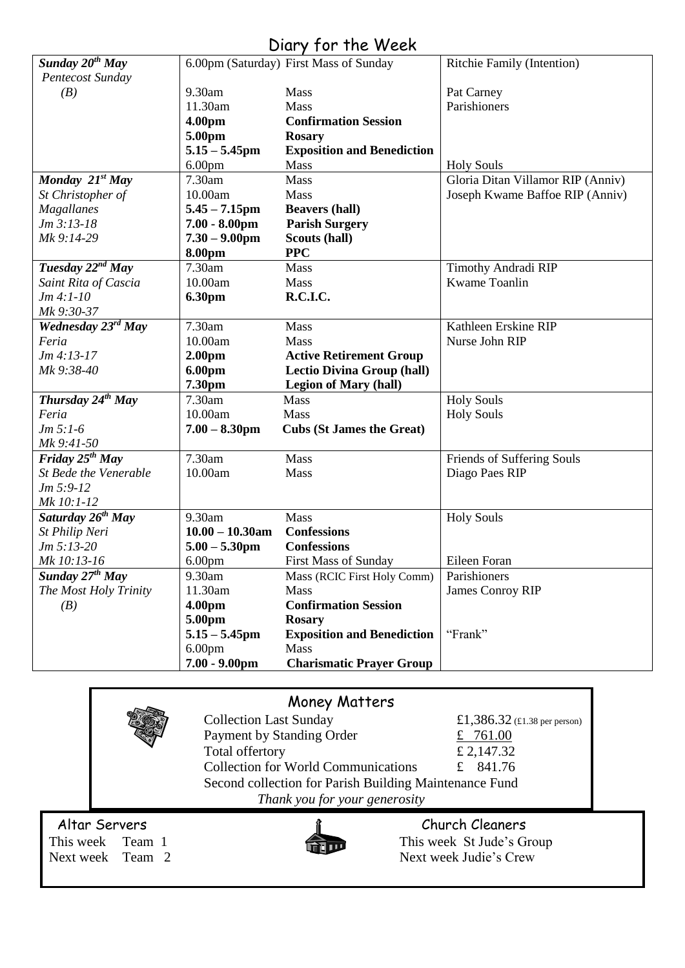# Diary for the Week

| Sunday 20 <sup>th</sup> May   |                    | 6.00pm (Saturday) First Mass of Sunday | Ritchie Family (Intention)        |
|-------------------------------|--------------------|----------------------------------------|-----------------------------------|
| Pentecost Sunday              |                    |                                        |                                   |
| (B)                           | 9.30am             | Mass                                   | Pat Carney                        |
|                               | 11.30am            | Mass                                   | Parishioners                      |
|                               | 4.00pm             | <b>Confirmation Session</b>            |                                   |
|                               | 5.00pm             | <b>Rosary</b>                          |                                   |
|                               | $5.15 - 5.45$ pm   | <b>Exposition and Benediction</b>      |                                   |
|                               | 6.00 <sub>pm</sub> | Mass                                   | <b>Holy Souls</b>                 |
| Monday 21 <sup>st</sup> May   | 7.30am             | <b>Mass</b>                            | Gloria Ditan Villamor RIP (Anniv) |
| St Christopher of             | 10.00am            | Mass                                   | Joseph Kwame Baffoe RIP (Anniv)   |
| <b>Magallanes</b>             | $5.45 - 7.15$ pm   | <b>Beavers (hall)</b>                  |                                   |
| $Jm 3:13-18$                  | $7.00 - 8.00$ pm   | <b>Parish Surgery</b>                  |                                   |
| Mk 9:14-29                    | $7.30 - 9.00$ pm   | Scouts (hall)                          |                                   |
|                               | 8.00pm             | <b>PPC</b>                             |                                   |
| Tuesday $22^{nd}$ May         | 7.30am             | Mass                                   | Timothy Andradi RIP               |
| Saint Rita of Cascia          | 10.00am            | Mass                                   | Kwame Toanlin                     |
| $Jm 4:1-10$                   | <b>6.30pm</b>      | R.C.I.C.                               |                                   |
| Mk 9:30-37                    |                    |                                        |                                   |
| Wednesday 23rd May            | 7.30am             | Mass                                   | Kathleen Erskine RIP              |
| Feria                         | 10.00am            | Mass                                   | Nurse John RIP                    |
| $Jm 4:13-17$                  | 2.00 <sub>pm</sub> | <b>Active Retirement Group</b>         |                                   |
| Mk 9:38-40                    | 6.00pm             | <b>Lectio Divina Group (hall)</b>      |                                   |
|                               | 7.30pm             | <b>Legion of Mary (hall)</b>           |                                   |
| Thursday 24 <sup>th</sup> May | 7.30am             | Mass                                   | <b>Holy Souls</b>                 |
| Feria                         | 10.00am            | Mass                                   | <b>Holy Souls</b>                 |
| $Jm 5:1-6$                    | $7.00 - 8.30$ pm   | <b>Cubs (St James the Great)</b>       |                                   |
| Mk 9:41-50                    |                    |                                        |                                   |
| Friday $25^{th}$ May          | 7.30am             | Mass                                   | Friends of Suffering Souls        |
| St Bede the Venerable         | 10.00am            | Mass                                   | Diago Paes RIP                    |
| $Jm 5:9-12$                   |                    |                                        |                                   |
| Mk 10:1-12                    |                    |                                        |                                   |
| Saturday 26 <sup>th</sup> May | 9.30am             | Mass                                   | <b>Holy Souls</b>                 |
| St Philip Neri                | $10.00 - 10.30$ am | <b>Confessions</b>                     |                                   |
| $Jm 5:13-20$                  | $5.00 - 5.30$ pm   | <b>Confessions</b>                     |                                   |
| Mk 10:13-16                   | 6.00 <sub>pm</sub> | <b>First Mass of Sunday</b>            | Eileen Foran                      |
| Sunday 27 <sup>th</sup> May   | 9.30am             | Mass (RCIC First Holy Comm)            | Parishioners                      |
| The Most Holy Trinity         | 11.30am            | <b>Mass</b>                            | James Conroy RIP                  |
| (B)                           | 4.00pm             | <b>Confirmation Session</b>            |                                   |
|                               | 5.00pm             | <b>Rosary</b>                          |                                   |
|                               | $5.15 - 5.45$ pm   | <b>Exposition and Benediction</b>      | "Frank"                           |
|                               | 6.00 <sub>pm</sub> | Mass                                   |                                   |
|                               | $7.00 - 9.00$ pm   | <b>Charismatic Prayer Group</b>        |                                   |

# Money Matters

|               | <b><i>MONEY MATTERS</i></b>                            |                                                                            |
|---------------|--------------------------------------------------------|----------------------------------------------------------------------------|
|               | <b>Collection Last Sunday</b>                          | £1,386.32 (£1.38 per person)                                               |
|               | Payment by Standing Order                              | £ 761.00                                                                   |
|               | Total offertory                                        | £ 2,147.32                                                                 |
|               | <b>Collection for World Communications</b>             | £ $841.76$                                                                 |
|               | Second collection for Parish Building Maintenance Fund |                                                                            |
|               | Thank you for your generosity                          |                                                                            |
| $\sim$ $\sim$ |                                                        | $\overline{a}$ $\overline{a}$ $\overline{a}$ $\overline{a}$ $\overline{a}$ |

Altar Servers<br>
This week Team 1 This week St Jude's G



This week St Jude's Group Next week Team 2 Next week Judie's Crew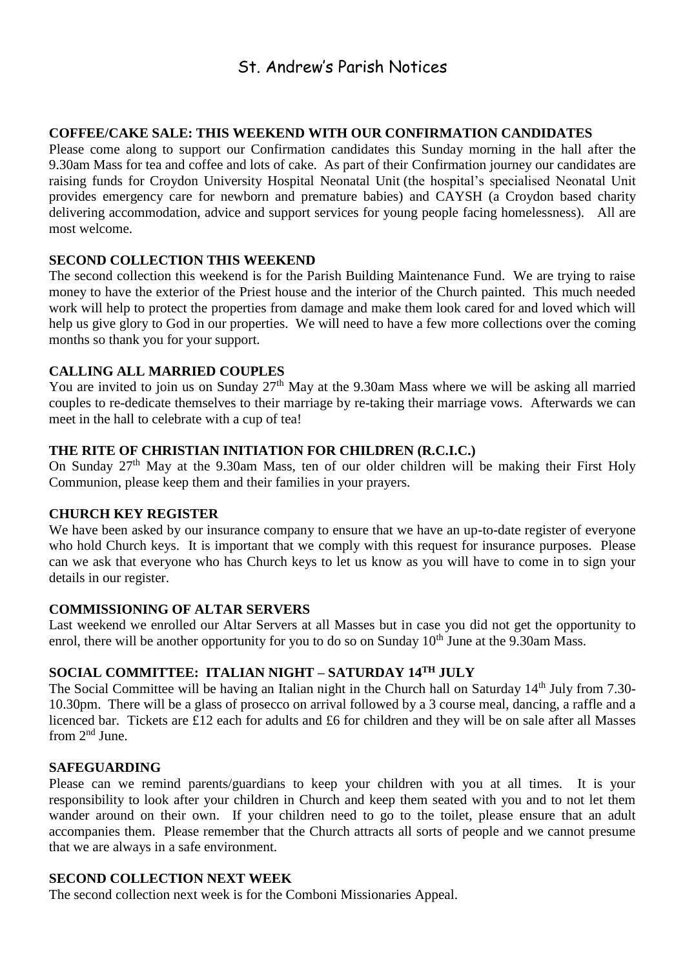# St. Andrew's Parish Notices

#### **COFFEE/CAKE SALE: THIS WEEKEND WITH OUR CONFIRMATION CANDIDATES**

Please come along to support our Confirmation candidates this Sunday morning in the hall after the 9.30am Mass for tea and coffee and lots of cake. As part of their Confirmation journey our candidates are raising funds for Croydon University Hospital Neonatal Unit (the hospital's specialised Neonatal Unit provides emergency care for newborn and premature babies) and CAYSH (a Croydon based charity delivering accommodation, advice and support services for young people facing homelessness). All are most welcome.

#### **SECOND COLLECTION THIS WEEKEND**

The second collection this weekend is for the Parish Building Maintenance Fund. We are trying to raise money to have the exterior of the Priest house and the interior of the Church painted. This much needed work will help to protect the properties from damage and make them look cared for and loved which will help us give glory to God in our properties. We will need to have a few more collections over the coming months so thank you for your support.

#### **CALLING ALL MARRIED COUPLES**

You are invited to join us on Sunday 27<sup>th</sup> May at the 9.30am Mass where we will be asking all married couples to re-dedicate themselves to their marriage by re-taking their marriage vows. Afterwards we can meet in the hall to celebrate with a cup of tea!

#### **THE RITE OF CHRISTIAN INITIATION FOR CHILDREN (R.C.I.C.)**

On Sunday  $27<sup>th</sup>$  May at the 9.30am Mass, ten of our older children will be making their First Holy Communion, please keep them and their families in your prayers.

#### **CHURCH KEY REGISTER**

We have been asked by our insurance company to ensure that we have an up-to-date register of everyone who hold Church keys. It is important that we comply with this request for insurance purposes. Please can we ask that everyone who has Church keys to let us know as you will have to come in to sign your details in our register.

#### **COMMISSIONING OF ALTAR SERVERS**

Last weekend we enrolled our Altar Servers at all Masses but in case you did not get the opportunity to enrol, there will be another opportunity for you to do so on Sunday 10<sup>th</sup> June at the 9.30am Mass.

# **SOCIAL COMMITTEE: ITALIAN NIGHT – SATURDAY 14TH JULY**

The Social Committee will be having an Italian night in the Church hall on Saturday 14<sup>th</sup> July from 7.30-10.30pm. There will be a glass of prosecco on arrival followed by a 3 course meal, dancing, a raffle and a licenced bar. Tickets are £12 each for adults and £6 for children and they will be on sale after all Masses from  $2<sup>nd</sup>$  June.

#### **SAFEGUARDING**

Please can we remind parents/guardians to keep your children with you at all times. It is your responsibility to look after your children in Church and keep them seated with you and to not let them wander around on their own. If your children need to go to the toilet, please ensure that an adult accompanies them. Please remember that the Church attracts all sorts of people and we cannot presume that we are always in a safe environment.

#### **SECOND COLLECTION NEXT WEEK**

The second collection next week is for the Comboni Missionaries Appeal.